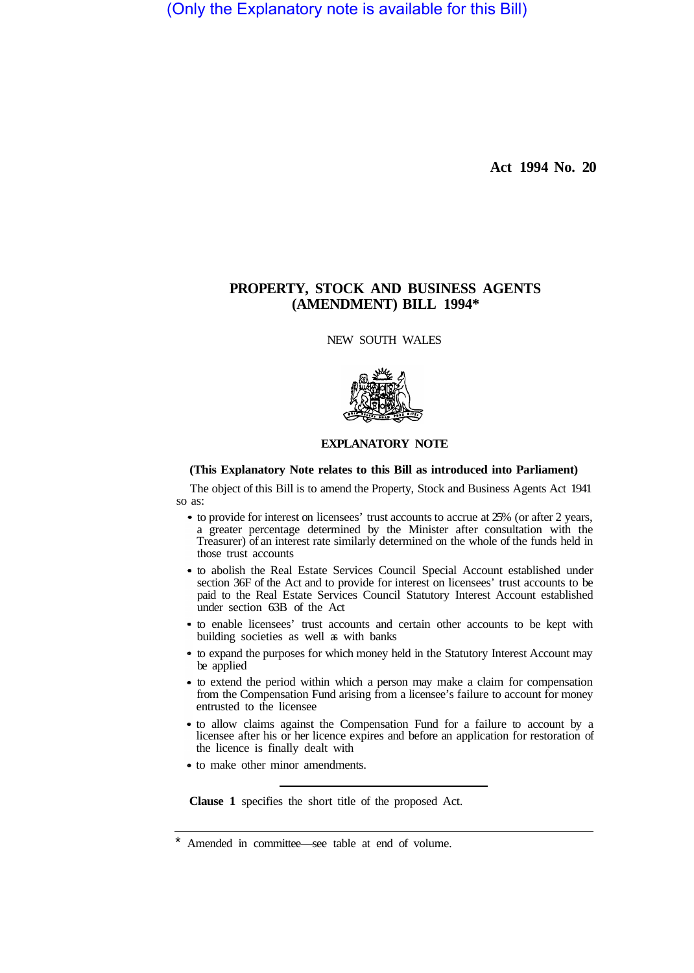(Only the Explanatory note is available for this Bill)

**Act 1994 No. 20** 

# **PROPERTY, STOCK AND BUSINESS AGENTS (AMENDMENT) BILL 1994\***

NEW SOUTH WALES



# **EXPLANATORY NOTE**

# **(This Explanatory Note relates to this Bill as introduced into Parliament)**

The object of this Bill is to amend the Property, Stock and Business Agents Act 1941 so as:

- to provide for interest on licensees' trust accounts to accrue at 25% (or after 2 years, a greater percentage determined by the Minister after consultation with the Treasurer) of an interest rate similarly determined on the whole of the funds held in those trust accounts
- to abolish the Real Estate Services Council Special Account established under section 36F of the Act and to provide for interest on licensees' trust accounts to be paid to the Real Estate Services Council Statutory Interest Account established under section 63B of the Act
- to enable licensees' trust accounts and certain other accounts to be kept with building societies as well as with banks
- to expand the purposes for which money held in the Statutory Interest Account may be applied
- to extend the period within which a person may make a claim for compensation from the Compensation Fund arising from a licensee's failure to account for money entrusted to the licensee
- to allow claims against the Compensation Fund for a failure to account by a licensee after his or her licence expires and before an application for restoration of the licence is finally dealt with
- to make other minor amendments.

**Clause 1** specifies the short title of the proposed Act.

Amended in committee—see table at end of volume.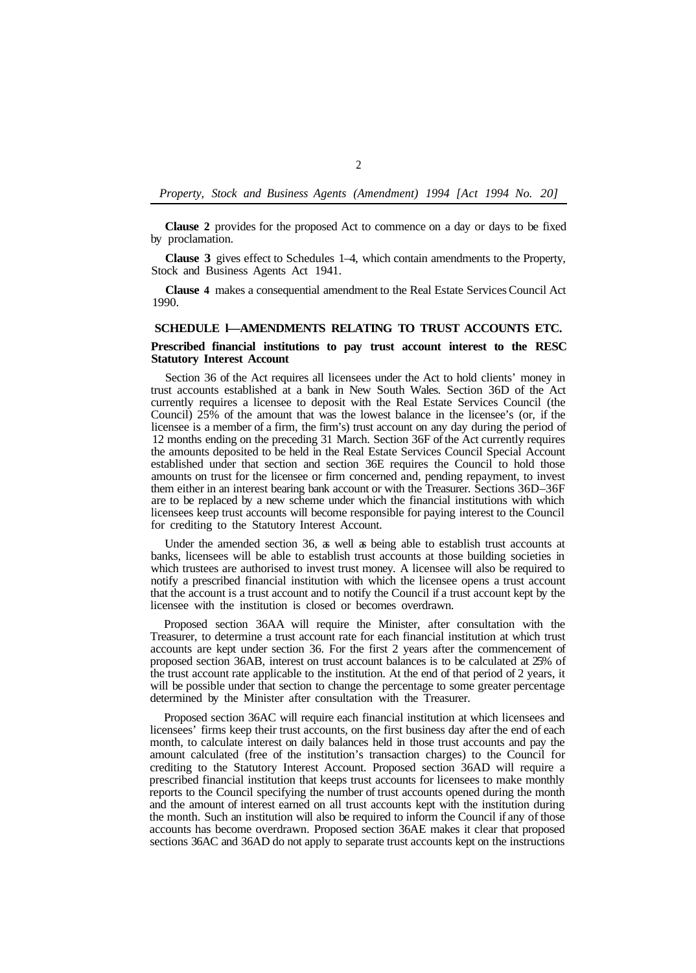**Clause 2** provides for the proposed Act to commence on a day or days to be fixed by proclamation.

**Clause 3** gives effect to Schedules 1–4, which contain amendments to the Property, Stock and Business Agents Act 1941.

**Clause 4** makes a consequential amendment to the Real Estate Services Council Act 1990.

# **SCHEDULE l—AMENDMENTS RELATING TO TRUST ACCOUNTS ETC.**

# **Prescribed financial institutions to pay trust account interest to the RESC Statutory Interest Account**

Section 36 of the Act requires all licensees under the Act to hold clients' money in trust accounts established at a bank in New South Wales. Section 36D of the Act currently requires a licensee to deposit with the Real Estate Services Council (the Council) 25% of the amount that was the lowest balance in the licensee's (or, if the licensee is a member of a firm, the firm's) trust account on any day during the period of 12 months ending on the preceding 31 March. Section 36F of the Act currently requires the amounts deposited to be held in the Real Estate Services Council Special Account established under that section and section 36E requires the Council to hold those amounts on trust for the licensee or firm concerned and, pending repayment, to invest them either in an interest bearing bank account or with the Treasurer. Sections 36D–36F are to be replaced by a new scheme under which the financial institutions with which licensees keep trust accounts will become responsible for paying interest to the Council for crediting to the Statutory Interest Account.

Under the amended section 36, as well as being able to establish trust accounts at banks, licensees will be able to establish trust accounts at those building societies in which trustees are authorised to invest trust money. A licensee will also be required to notify a prescribed financial institution with which the licensee opens a trust account that the account is a trust account and to notify the Council if a trust account kept by the licensee with the institution is closed or becomes overdrawn.

Proposed section 36AA will require the Minister, after consultation with the Treasurer, to determine a trust account rate for each financial institution at which trust accounts are kept under section 36. For the first 2 years after the commencement of proposed section 36AB, interest on trust account balances is to be calculated at 25% of the trust account rate applicable to the institution. At the end of that period of 2 years, it will be possible under that section to change the percentage to some greater percentage determined by the Minister after consultation with the Treasurer.

Proposed section 36AC will require each financial institution at which licensees and licensees' firms keep their trust accounts, on the first business day after the end of each month, to calculate interest on daily balances held in those trust accounts and pay the amount calculated (free of the institution's transaction charges) to the Council for crediting to the Statutory Interest Account. Proposed section 36AD will require a prescribed financial institution that keeps trust accounts for licensees to make monthly reports to the Council specifying the number of trust accounts opened during the month and the amount of interest earned on all trust accounts kept with the institution during the month. Such an institution will also be required to inform the Council if any of those accounts has become overdrawn. Proposed section 36AE makes it clear that proposed sections 36AC and 36AD do not apply to separate trust accounts kept on the instructions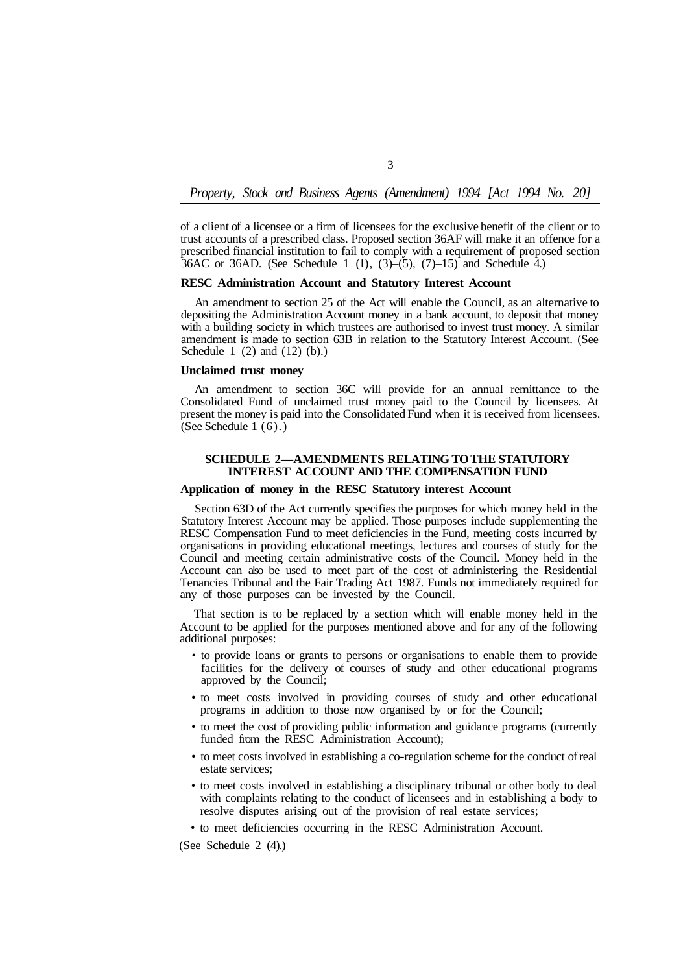of a client of a licensee or a firm of licensees for the exclusive benefit of the client or to trust accounts of a prescribed class. Proposed section 36AF will make it an offence for a prescribed financial institution to fail to comply with a requirement of proposed section  $36AC$  or 36AD. (See Schedule 1 (1),  $(3)$ – $(5)$ ,  $(7)$ –15) and Schedule 4.)

#### **RESC Administration Account and Statutory Interest Account**

An amendment to section 25 of the Act will enable the Council, as an alternative to depositing the Administration Account money in a bank account, to deposit that money with a building society in which trustees are authorised to invest trust money. A similar amendment is made to section 63B in relation to the Statutory Interest Account. (See Schedule 1 (2) and (12) (b).)

#### **Unclaimed trust money**

An amendment to section 36C will provide for an annual remittance to the Consolidated Fund of unclaimed trust money paid to the Council by licensees. At present the money is paid into the Consolidated Fund when it is received from licensees. (See Schedule 1 (6).)

# **SCHEDULE 2—AMENDMENTS RELATING TO THE STATUTORY INTEREST ACCOUNT AND THE COMPENSATION FUND**

### **Application of money in the RESC Statutory interest Account**

Section 63D of the Act currently specifies the purposes for which money held in the Statutory Interest Account may be applied. Those purposes include supplementing the RESC Compensation Fund to meet deficiencies in the Fund, meeting costs incurred by organisations in providing educational meetings, lectures and courses of study for the Council and meeting certain administrative costs of the Council. Money held in the Account can also be used to meet part of the cost of administering the Residential Tenancies Tribunal and the Fair Trading Act 1987. Funds not immediately required for any of those purposes can be invested by the Council.

That section is to be replaced by a section which will enable money held in the Account to be applied for the purposes mentioned above and for any of the following additional purposes:

- to provide loans or grants to persons or organisations to enable them to provide facilities for the delivery of courses of study and other educational programs approved by the Council;
- to meet costs involved in providing courses of study and other educational programs in addition to those now organised by or for the Council;
- to meet the cost of providing public information and guidance programs (currently funded from the RESC Administration Account);
- to meet costs involved in establishing a co-regulation scheme for the conduct of real estate services;
- to meet costs involved in establishing a disciplinary tribunal or other body to deal with complaints relating to the conduct of licensees and in establishing a body to resolve disputes arising out of the provision of real estate services;

• to meet deficiencies occurring in the RESC Administration Account.

(See Schedule 2 (4).)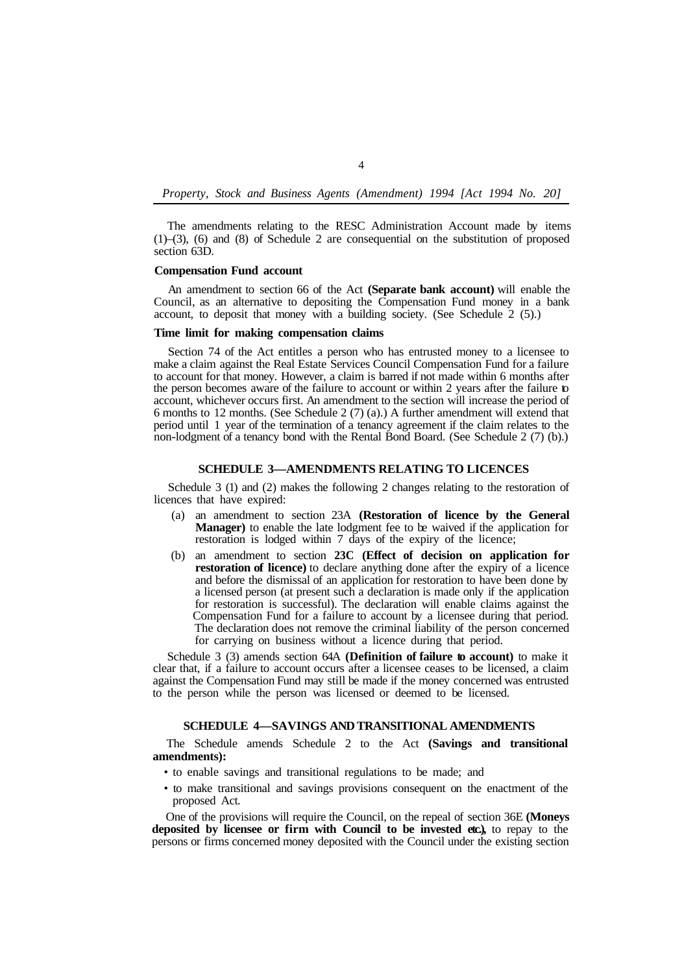The amendments relating to the RESC Administration Account made by items (1)–(3), (6) and (8) of Schedule 2 are consequential on the substitution of proposed section 63D.

# **Compensation Fund account**

An amendment to section 66 of the Act **(Separate bank account)** will enable the Council, as an alternative to depositing the Compensation Fund money in a bank account, to deposit that money with a building society. (See Schedule 2 (5).)

#### **Time limit for making compensation claims**

Section 74 of the Act entitles a person who has entrusted money to a licensee to make a claim against the Real Estate Services Council Compensation Fund for a failure to account for that money. However, a claim is barred if not made within 6 months after the person becomes aware of the failure to account or within 2 years after the failure to account, whichever occurs first. An amendment to the section will increase the period of 6 months to 12 months. (See Schedule 2 (7) (a).) A further amendment will extend that period until 1 year of the termination of a tenancy agreement if the claim relates to the non-lodgment of a tenancy bond with the Rental Bond Board. (See Schedule 2 (7) (b).)

## **SCHEDULE 3—AMENDMENTS RELATING TO LICENCES**

Schedule 3 (1) and (2) makes the following 2 changes relating to the restoration of licences that have expired:

- (a) an amendment to section 23A **(Restoration of licence by the General Manager)** to enable the late lodgment fee to be waived if the application for restoration is lodged within 7 days of the expiry of the licence;
- (b) an amendment to section **23C (Effect of decision on application for restoration of licence**) to declare anything done after the expiry of a licence and before the dismissal of an application for restoration to have been done by a licensed person (at present such a declaration is made only if the application for restoration is successful). The declaration will enable claims against the Compensation Fund for a failure to account by a licensee during that period. The declaration does not remove the criminal liability of the person concerned for carrying on business without a licence during that period.

Schedule 3 (3) amends section 64A **(Definition of failure to account)** to make it clear that, if a failure to account occurs after a licensee ceases to be licensed, a claim against the Compensation Fund may still be made if the money concerned was entrusted to the person while the person was licensed or deemed to be licensed.

#### **SCHEDULE 4—SAVINGS AND TRANSITIONAL AMENDMENTS**

The Schedule amends Schedule 2 to the Act **(Savings and transitional amendments):** 

- to enable savings and transitional regulations to be made; and
- to make transitional and savings provisions consequent on the enactment of the proposed Act.

One of the provisions will require the Council, on the repeal of section 36E **(Moneys deposited by licensee or firm with Council to be invested etc.),** to repay to the persons or firms concerned money deposited with the Council under the existing section